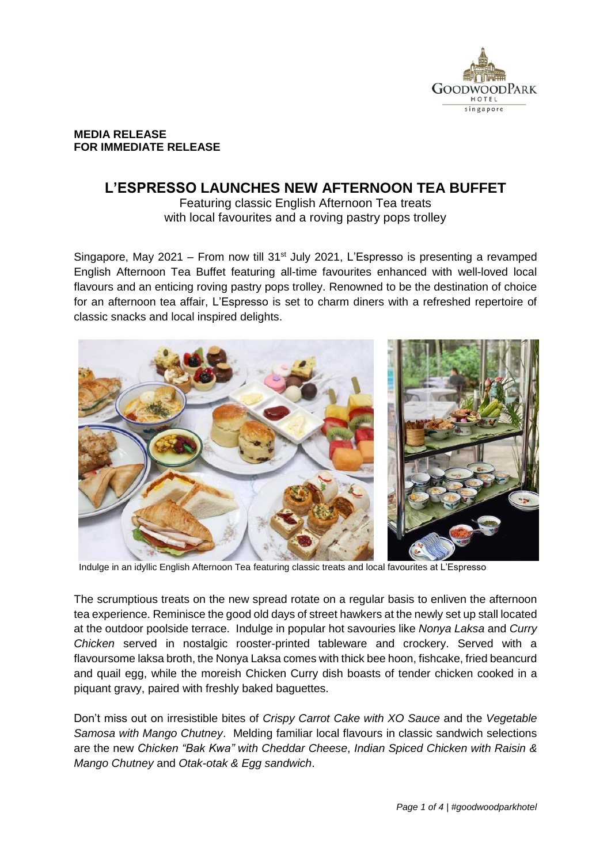

### **MEDIA RELEASE FOR IMMEDIATE RELEASE**

# **L'ESPRESSO LAUNCHES NEW AFTERNOON TEA BUFFET**

Featuring classic English Afternoon Tea treats with local favourites and a roving pastry pops trolley

Singapore, May 2021 – From now till 31<sup>st</sup> July 2021, L'Espresso is presenting a revamped English Afternoon Tea Buffet featuring all-time favourites enhanced with well-loved local flavours and an enticing roving pastry pops trolley. Renowned to be the destination of choice for an afternoon tea affair, L'Espresso is set to charm diners with a refreshed repertoire of classic snacks and local inspired delights.



Indulge in an idyllic English Afternoon Tea featuring classic treats and local favourites at L'Espresso

The scrumptious treats on the new spread rotate on a regular basis to enliven the afternoon tea experience. Reminisce the good old days of street hawkers at the newly set up stall located at the outdoor poolside terrace. Indulge in popular hot savouries like *Nonya Laksa* and *Curry Chicken* served in nostalgic rooster-printed tableware and crockery. Served with a flavoursome laksa broth, the Nonya Laksa comes with thick bee hoon, fishcake, fried beancurd and quail egg, while the moreish Chicken Curry dish boasts of tender chicken cooked in a piquant gravy, paired with freshly baked baguettes.

Don't miss out on irresistible bites of *Crispy Carrot Cake with XO Sauce* and the *Vegetable Samosa with Mango Chutney*. Melding familiar local flavours in classic sandwich selections are the new *Chicken "Bak Kwa" with Cheddar Cheese*, *Indian Spiced Chicken with Raisin & Mango Chutney* and *Otak-otak & Egg sandwich*.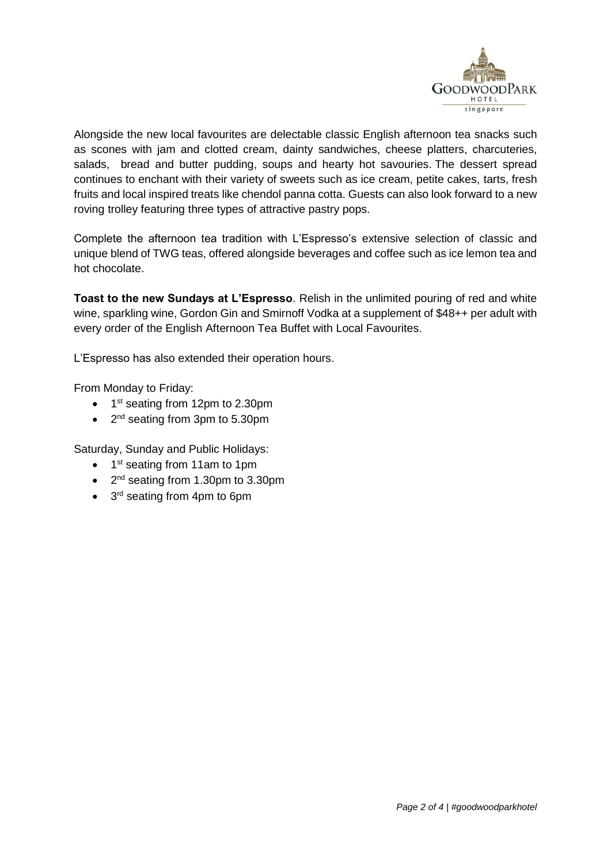

Alongside the new local favourites are delectable classic English afternoon tea snacks such as scones with jam and clotted cream, dainty sandwiches, cheese platters, charcuteries, salads, bread and butter pudding, soups and hearty hot savouries. The dessert spread continues to enchant with their variety of sweets such as ice cream, petite cakes, tarts, fresh fruits and local inspired treats like chendol panna cotta. Guests can also look forward to a new roving trolley featuring three types of attractive pastry pops.

Complete the afternoon tea tradition with L'Espresso's extensive selection of classic and unique blend of TWG teas, offered alongside beverages and coffee such as ice lemon tea and hot chocolate.

**Toast to the new Sundays at L'Espresso**. Relish in the unlimited pouring of red and white wine, sparkling wine, Gordon Gin and Smirnoff Vodka at a supplement of \$48++ per adult with every order of the English Afternoon Tea Buffet with Local Favourites.

L'Espresso has also extended their operation hours.

From Monday to Friday:

- 1<sup>st</sup> seating from 12pm to 2.30pm
- 2<sup>nd</sup> seating from 3pm to 5.30pm

Saturday, Sunday and Public Holidays:

- 1<sup>st</sup> seating from 11am to 1pm
- 2<sup>nd</sup> seating from 1.30pm to 3.30pm
- 3<sup>rd</sup> seating from 4pm to 6pm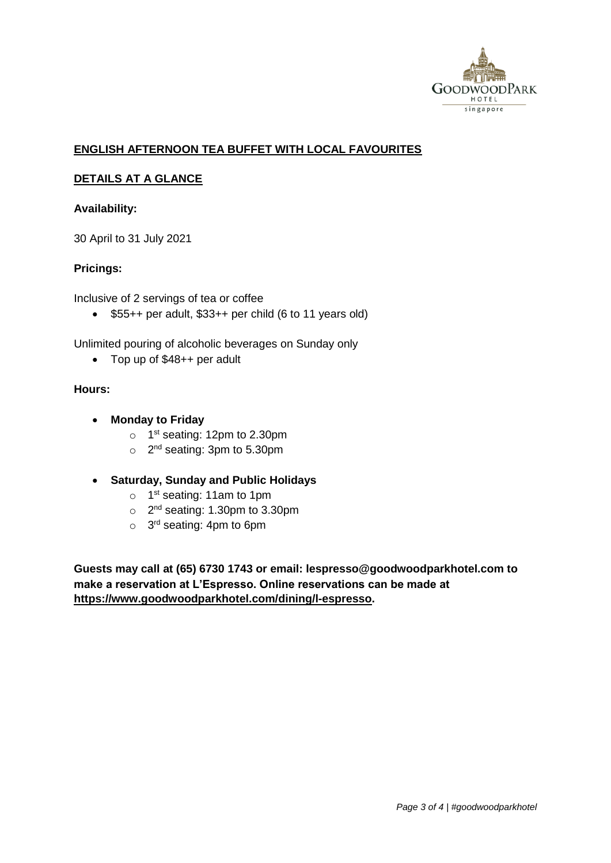

# **ENGLISH AFTERNOON TEA BUFFET WITH LOCAL FAVOURITES**

## **DETAILS AT A GLANCE**

### **Availability:**

30 April to 31 July 2021

## **Pricings:**

Inclusive of 2 servings of tea or coffee

 $\bullet$  \$55++ per adult, \$33++ per child (6 to 11 years old)

Unlimited pouring of alcoholic beverages on Sunday only

Top up of \$48++ per adult

#### **Hours:**

- **Monday to Friday**
	- o 1<sup>st</sup> seating: 12pm to 2.30pm
	- o 2<sup>nd</sup> seating: 3pm to 5.30pm
- **Saturday, Sunday and Public Holidays**
	- o 1<sup>st</sup> seating: 11am to 1pm
	- $\circ$  2<sup>nd</sup> seating: 1.30pm to 3.30pm
	- o 3<sup>rd</sup> seating: 4pm to 6pm

**Guests may call at (65) 6730 1743 or email: lespresso@goodwoodparkhotel.com to make a reservation at L'Espresso. Online reservations can be made at [https://www.goodwoodparkhotel.com/dining/l-espresso.](https://www.goodwoodparkhotel.com/dining/l-espresso)**